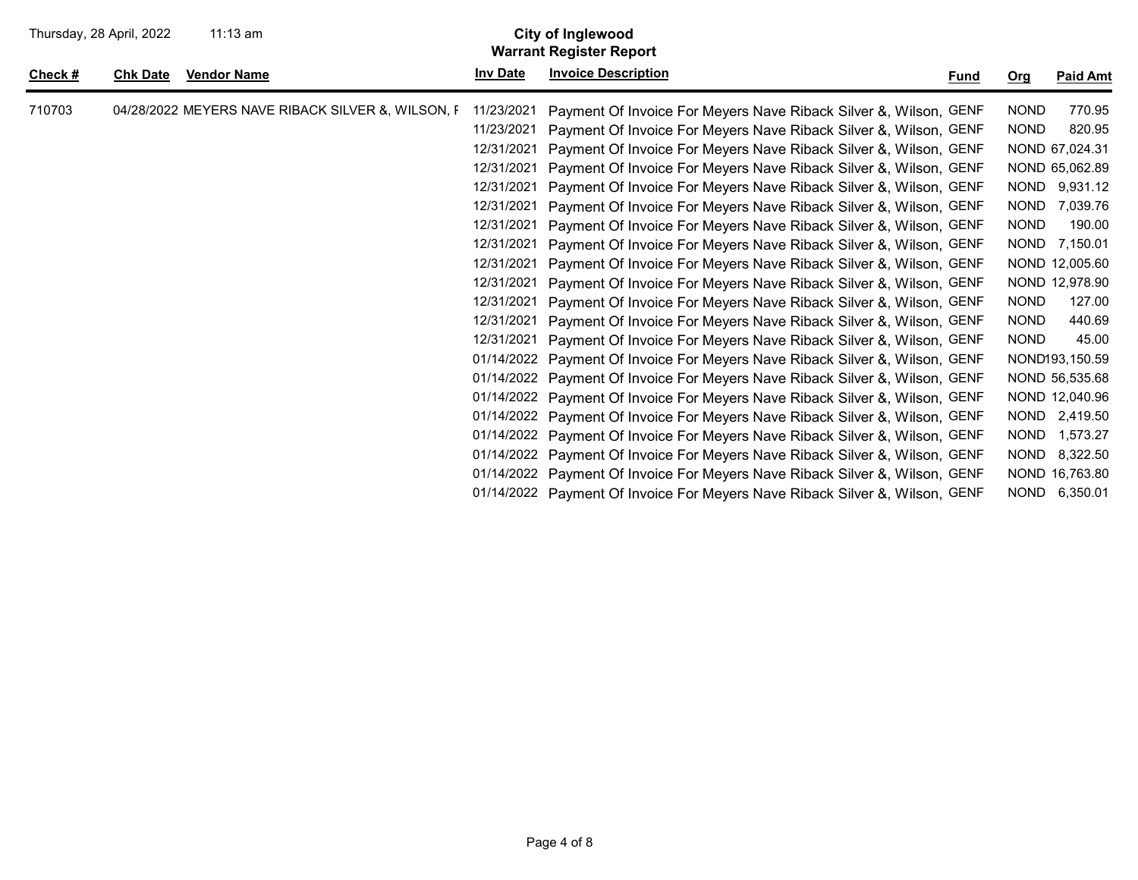| Thursday, 28 April, 2022 |                 | $11:13$ am                                        |                 | City of Inglewood<br><b>Warrant Register Report</b>                         |      |             |                 |
|--------------------------|-----------------|---------------------------------------------------|-----------------|-----------------------------------------------------------------------------|------|-------------|-----------------|
| Check $#$                | <b>Chk Date</b> | <b>Vendor Name</b>                                | <b>Inv Date</b> | <b>Invoice Description</b>                                                  | Fund | Org         | <b>Paid Amt</b> |
| 710703                   |                 | 04/28/2022 MEYERS NAVE RIBACK SILVER &, WILSON, F | 11/23/2021      | Payment Of Invoice For Meyers Nave Riback Silver &, Wilson, GENF            |      | <b>NOND</b> | 770.95          |
|                          |                 |                                                   | 11/23/2021      | Payment Of Invoice For Meyers Nave Riback Silver &, Wilson, GENF            |      | <b>NOND</b> | 820.95          |
|                          |                 |                                                   | 12/31/2021      | Payment Of Invoice For Meyers Nave Riback Silver &, Wilson, GENF            |      |             | NOND 67,024.31  |
|                          |                 |                                                   | 12/31/2021      | Payment Of Invoice For Meyers Nave Riback Silver &, Wilson, GENF            |      |             | NOND 65,062.89  |
|                          |                 |                                                   | 12/31/2021      | Payment Of Invoice For Meyers Nave Riback Silver &, Wilson, GENF            |      |             | NOND 9,931.12   |
|                          |                 |                                                   | 12/31/2021      | Payment Of Invoice For Meyers Nave Riback Silver &, Wilson, GENF            |      | <b>NOND</b> | 7,039.76        |
|                          |                 |                                                   | 12/31/2021      | Payment Of Invoice For Meyers Nave Riback Silver &, Wilson, GENF            |      | <b>NOND</b> | 190.00          |
|                          |                 |                                                   | 12/31/2021      | Payment Of Invoice For Meyers Nave Riback Silver &, Wilson, GENF            |      | <b>NOND</b> | 7,150.01        |
|                          |                 |                                                   | 12/31/2021      | Payment Of Invoice For Meyers Nave Riback Silver &, Wilson, GENF            |      |             | NOND 12,005.60  |
|                          |                 |                                                   | 12/31/2021      | Payment Of Invoice For Meyers Nave Riback Silver &, Wilson, GENF            |      |             | NOND 12,978.90  |
|                          |                 |                                                   | 12/31/2021      | Payment Of Invoice For Meyers Nave Riback Silver &, Wilson, GENF            |      | <b>NOND</b> | 127.00          |
|                          |                 |                                                   | 12/31/2021      | Payment Of Invoice For Meyers Nave Riback Silver &, Wilson, GENF            |      | <b>NOND</b> | 440.69          |
|                          |                 |                                                   | 12/31/2021      | Payment Of Invoice For Meyers Nave Riback Silver &, Wilson, GENF            |      | <b>NOND</b> | 45.00           |
|                          |                 |                                                   |                 | 01/14/2022 Payment Of Invoice For Meyers Nave Riback Silver &, Wilson, GENF |      |             | NOND193,150.59  |
|                          |                 |                                                   |                 | 01/14/2022 Payment Of Invoice For Meyers Nave Riback Silver &, Wilson, GENF |      |             | NOND 56,535.68  |
|                          |                 |                                                   |                 | 01/14/2022 Payment Of Invoice For Meyers Nave Riback Silver &, Wilson, GENF |      |             | NOND 12,040.96  |
|                          |                 |                                                   |                 | 01/14/2022 Payment Of Invoice For Meyers Nave Riback Silver &, Wilson, GENF |      |             | NOND 2,419.50   |
|                          |                 |                                                   |                 | 01/14/2022 Payment Of Invoice For Meyers Nave Riback Silver &, Wilson, GENF |      | <b>NOND</b> | 1,573.27        |
|                          |                 |                                                   |                 | 01/14/2022 Payment Of Invoice For Meyers Nave Riback Silver &, Wilson, GENF |      | <b>NOND</b> | 8,322.50        |
|                          |                 |                                                   |                 | 01/14/2022 Payment Of Invoice For Meyers Nave Riback Silver &, Wilson, GENF |      |             | NOND 16,763.80  |
|                          |                 |                                                   |                 | 01/14/2022 Payment Of Invoice For Meyers Nave Riback Silver &, Wilson, GENF |      |             | NOND 6,350.01   |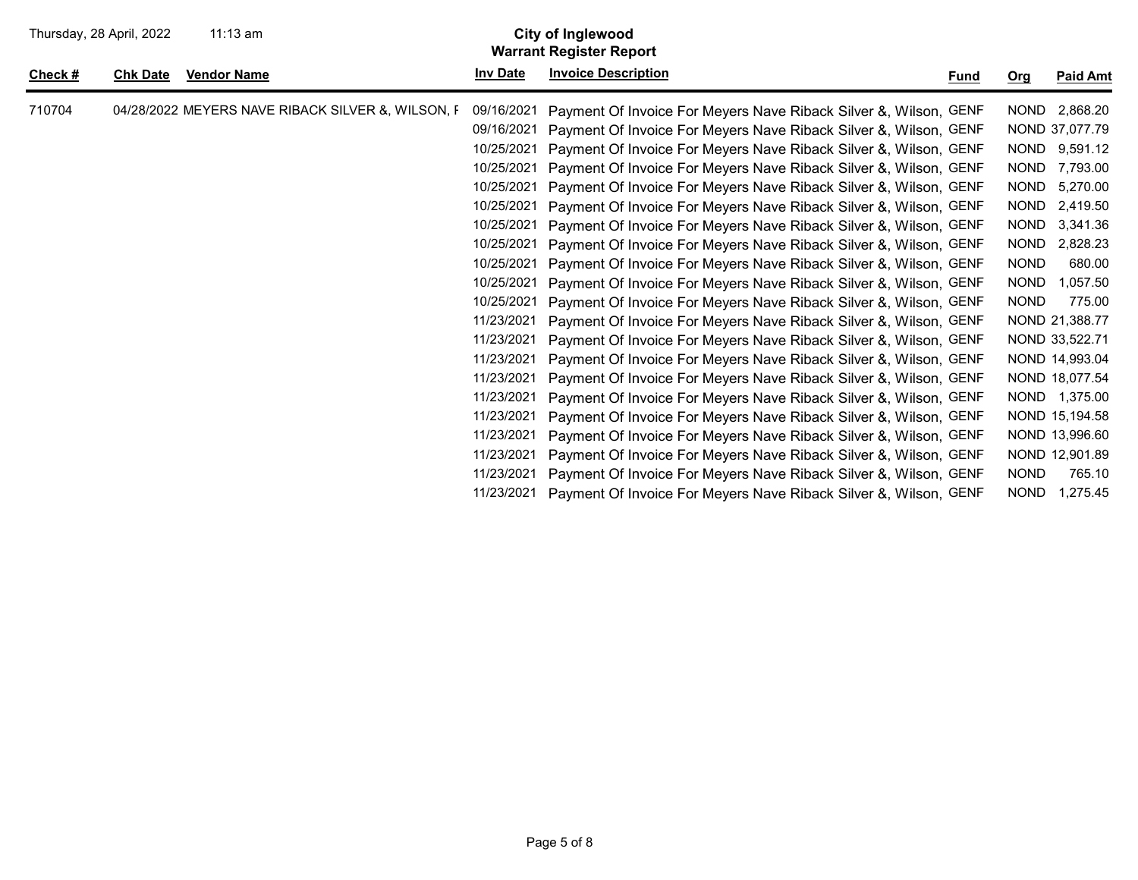| Thursday, 28 April, 2022 |                 | $11:13$ am                                       |                 | <b>City of Inglewood</b><br><b>Warrant Register Report</b>       |             |             |                 |
|--------------------------|-----------------|--------------------------------------------------|-----------------|------------------------------------------------------------------|-------------|-------------|-----------------|
| Check $#$                | <b>Chk Date</b> | <b>Vendor Name</b>                               | <b>Inv Date</b> | <b>Invoice Description</b>                                       | <b>Fund</b> | <u>Org</u>  | <b>Paid Amt</b> |
| 710704                   |                 | 04/28/2022 MEYERS NAVE RIBACK SILVER & WILSON, F | 09/16/2021      | Payment Of Invoice For Meyers Nave Riback Silver &, Wilson, GENF |             | <b>NOND</b> | 2,868.20        |
|                          |                 |                                                  | 09/16/2021      | Payment Of Invoice For Meyers Nave Riback Silver &, Wilson, GENF |             |             | NOND 37,077.79  |
|                          |                 |                                                  | 10/25/2021      | Payment Of Invoice For Meyers Nave Riback Silver &, Wilson, GENF |             | <b>NOND</b> | 9,591.12        |
|                          |                 |                                                  | 10/25/2021      | Payment Of Invoice For Meyers Nave Riback Silver &, Wilson, GENF |             | <b>NOND</b> | 7,793.00        |
|                          |                 |                                                  | 10/25/2021      | Payment Of Invoice For Meyers Nave Riback Silver &, Wilson, GENF |             | <b>NOND</b> | 5,270.00        |
|                          |                 |                                                  | 10/25/2021      | Payment Of Invoice For Meyers Nave Riback Silver &, Wilson, GENF |             | <b>NOND</b> | 2,419.50        |
|                          |                 |                                                  | 10/25/2021      | Payment Of Invoice For Meyers Nave Riback Silver &, Wilson, GENF |             | <b>NOND</b> | 3,341.36        |
|                          |                 |                                                  | 10/25/2021      | Payment Of Invoice For Meyers Nave Riback Silver &, Wilson, GENF |             | <b>NOND</b> | 2,828.23        |
|                          |                 |                                                  | 10/25/2021      | Payment Of Invoice For Meyers Nave Riback Silver &, Wilson, GENF |             | <b>NOND</b> | 680.00          |
|                          |                 |                                                  | 10/25/2021      | Payment Of Invoice For Meyers Nave Riback Silver &, Wilson, GENF |             | <b>NOND</b> | 1,057.50        |
|                          |                 |                                                  | 10/25/2021      | Payment Of Invoice For Meyers Nave Riback Silver &, Wilson, GENF |             | <b>NOND</b> | 775.00          |
|                          |                 |                                                  | 11/23/2021      | Payment Of Invoice For Meyers Nave Riback Silver &, Wilson, GENF |             |             | NOND 21,388.77  |
|                          |                 |                                                  | 11/23/2021      | Payment Of Invoice For Meyers Nave Riback Silver &, Wilson, GENF |             |             | NOND 33,522.71  |
|                          |                 |                                                  | 11/23/2021      | Payment Of Invoice For Meyers Nave Riback Silver &, Wilson, GENF |             |             | NOND 14,993.04  |
|                          |                 |                                                  | 11/23/2021      | Payment Of Invoice For Meyers Nave Riback Silver &, Wilson, GENF |             |             | NOND 18,077.54  |
|                          |                 |                                                  | 11/23/2021      | Payment Of Invoice For Meyers Nave Riback Silver &, Wilson, GENF |             |             | NOND 1,375.00   |
|                          |                 |                                                  | 11/23/2021      | Payment Of Invoice For Meyers Nave Riback Silver &, Wilson, GENF |             |             | NOND 15,194.58  |
|                          |                 |                                                  | 11/23/2021      | Payment Of Invoice For Meyers Nave Riback Silver &, Wilson, GENF |             |             | NOND 13,996.60  |
|                          |                 |                                                  | 11/23/2021      | Payment Of Invoice For Meyers Nave Riback Silver &, Wilson, GENF |             |             | NOND 12,901.89  |
|                          |                 |                                                  | 11/23/2021      | Payment Of Invoice For Meyers Nave Riback Silver &, Wilson, GENF |             | <b>NOND</b> | 765.10          |
|                          |                 |                                                  | 11/23/2021      | Payment Of Invoice For Meyers Nave Riback Silver &, Wilson, GENF |             | <b>NOND</b> | 1,275.45        |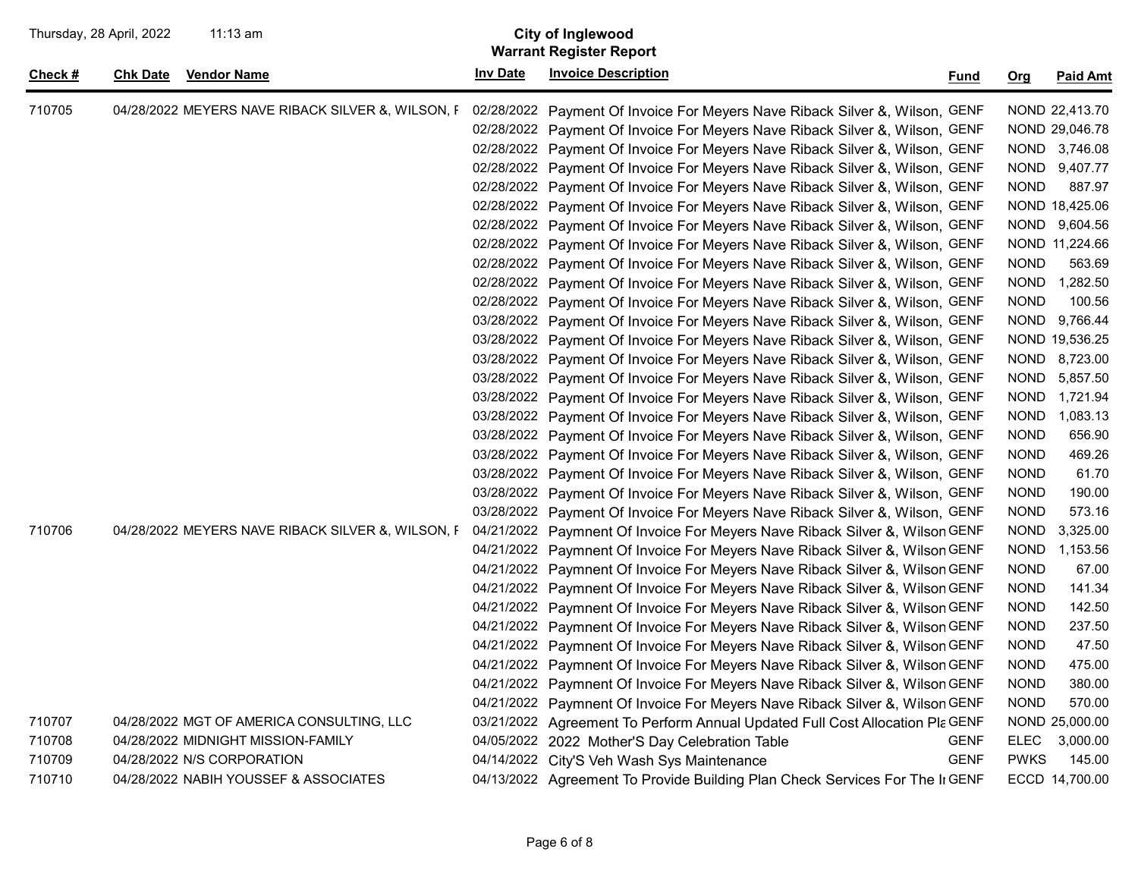| Thursday, 28 April, 2022<br>11:13 am |                 | <b>City of Inglewood</b><br><b>Warrant Register Report</b> |                 |                                                                              |                            |                 |
|--------------------------------------|-----------------|------------------------------------------------------------|-----------------|------------------------------------------------------------------------------|----------------------------|-----------------|
| <u>Check #</u>                       | <b>Chk Date</b> | <b>Vendor Name</b>                                         | <b>Inv Date</b> | <b>Invoice Description</b>                                                   | Org<br><u>Fund</u>         | <b>Paid Amt</b> |
| 710705                               |                 | 04/28/2022 MEYERS NAVE RIBACK SILVER &, WILSON, F          |                 | 02/28/2022 Payment Of Invoice For Meyers Nave Riback Silver &, Wilson, GENF  |                            | NOND 22,413.70  |
|                                      |                 |                                                            |                 | 02/28/2022 Payment Of Invoice For Meyers Nave Riback Silver &, Wilson, GENF  |                            | NOND 29,046.78  |
|                                      |                 |                                                            |                 | 02/28/2022 Payment Of Invoice For Meyers Nave Riback Silver &, Wilson, GENF  |                            | NOND 3,746.08   |
|                                      |                 |                                                            |                 | 02/28/2022 Payment Of Invoice For Meyers Nave Riback Silver &, Wilson, GENF  | <b>NOND</b>                | 9,407.77        |
|                                      |                 |                                                            |                 | 02/28/2022 Payment Of Invoice For Meyers Nave Riback Silver &, Wilson, GENF  | <b>NOND</b>                | 887.97          |
|                                      |                 |                                                            |                 | 02/28/2022 Payment Of Invoice For Meyers Nave Riback Silver &, Wilson, GENF  |                            | NOND 18,425.06  |
|                                      |                 |                                                            |                 | 02/28/2022 Payment Of Invoice For Meyers Nave Riback Silver &, Wilson, GENF  | NOND                       | 9,604.56        |
|                                      |                 |                                                            |                 | 02/28/2022 Payment Of Invoice For Meyers Nave Riback Silver &, Wilson, GENF  |                            | NOND 11,224.66  |
|                                      |                 |                                                            |                 | 02/28/2022 Payment Of Invoice For Meyers Nave Riback Silver &, Wilson, GENF  | <b>NOND</b>                | 563.69          |
|                                      |                 |                                                            |                 | 02/28/2022 Payment Of Invoice For Meyers Nave Riback Silver &, Wilson, GENF  | NOND                       | 1,282.50        |
|                                      |                 |                                                            |                 | 02/28/2022 Payment Of Invoice For Meyers Nave Riback Silver &, Wilson, GENF  | <b>NOND</b>                | 100.56          |
|                                      |                 |                                                            |                 | 03/28/2022 Payment Of Invoice For Meyers Nave Riback Silver &, Wilson, GENF  | <b>NOND</b>                | 9,766.44        |
|                                      |                 |                                                            |                 | 03/28/2022 Payment Of Invoice For Meyers Nave Riback Silver &, Wilson, GENF  |                            | NOND 19,536.25  |
|                                      |                 |                                                            |                 | 03/28/2022 Payment Of Invoice For Meyers Nave Riback Silver &, Wilson, GENF  | <b>NOND</b>                | 8,723.00        |
|                                      |                 |                                                            |                 | 03/28/2022 Payment Of Invoice For Meyers Nave Riback Silver &, Wilson, GENF  | <b>NOND</b>                | 5,857.50        |
|                                      |                 |                                                            |                 | 03/28/2022 Payment Of Invoice For Meyers Nave Riback Silver &, Wilson, GENF  | <b>NOND</b>                | 1,721.94        |
|                                      |                 |                                                            |                 | 03/28/2022 Payment Of Invoice For Meyers Nave Riback Silver &, Wilson, GENF  | <b>NOND</b>                | 1,083.13        |
|                                      |                 |                                                            |                 | 03/28/2022 Payment Of Invoice For Meyers Nave Riback Silver &, Wilson, GENF  | <b>NOND</b>                | 656.90          |
|                                      |                 |                                                            |                 | 03/28/2022 Payment Of Invoice For Meyers Nave Riback Silver &, Wilson, GENF  | <b>NOND</b>                | 469.26          |
|                                      |                 |                                                            |                 | 03/28/2022 Payment Of Invoice For Meyers Nave Riback Silver &, Wilson, GENF  | <b>NOND</b>                | 61.70           |
|                                      |                 |                                                            |                 | 03/28/2022 Payment Of Invoice For Meyers Nave Riback Silver &, Wilson, GENF  | <b>NOND</b>                | 190.00          |
|                                      |                 |                                                            |                 | 03/28/2022 Payment Of Invoice For Meyers Nave Riback Silver &, Wilson, GENF  | <b>NOND</b>                | 573.16          |
| 710706                               |                 | 04/28/2022 MEYERS NAVE RIBACK SILVER &, WILSON, F          |                 | 04/21/2022 Paymnent Of Invoice For Meyers Nave Riback Silver &, Wilson GENF  | <b>NOND</b>                | 3,325.00        |
|                                      |                 |                                                            |                 | 04/21/2022 Paymnent Of Invoice For Meyers Nave Riback Silver &, Wilson GENF  | <b>NOND</b>                | 1,153.56        |
|                                      |                 |                                                            |                 | 04/21/2022 Paymnent Of Invoice For Meyers Nave Riback Silver &, Wilson GENF  | <b>NOND</b>                | 67.00           |
|                                      |                 |                                                            |                 | 04/21/2022 Paymnent Of Invoice For Meyers Nave Riback Silver &, Wilson GENF  | <b>NOND</b>                | 141.34          |
|                                      |                 |                                                            |                 | 04/21/2022 Paymnent Of Invoice For Meyers Nave Riback Silver &, Wilson GENF  | <b>NOND</b>                | 142.50          |
|                                      |                 |                                                            |                 | 04/21/2022 Paymnent Of Invoice For Meyers Nave Riback Silver &, Wilson GENF  | <b>NOND</b>                | 237.50          |
|                                      |                 |                                                            |                 | 04/21/2022 Paymnent Of Invoice For Meyers Nave Riback Silver &, Wilson GENF  | <b>NOND</b>                | 47.50           |
|                                      |                 |                                                            |                 | 04/21/2022 Paymnent Of Invoice For Meyers Nave Riback Silver &, Wilson GENF  | <b>NOND</b>                | 475.00          |
|                                      |                 |                                                            |                 | 04/21/2022 Paymnent Of Invoice For Meyers Nave Riback Silver &, Wilson GENF  | <b>NOND</b>                | 380.00          |
|                                      |                 |                                                            |                 | 04/21/2022 Paymnent Of Invoice For Meyers Nave Riback Silver &, Wilson GENF  | <b>NOND</b>                | 570.00          |
| 710707                               |                 | 04/28/2022 MGT OF AMERICA CONSULTING, LLC                  |                 | 03/21/2022 Agreement To Perform Annual Updated Full Cost Allocation PIa GENF |                            | NOND 25,000.00  |
| 710708                               |                 | 04/28/2022 MIDNIGHT MISSION-FAMILY                         |                 | 04/05/2022 2022 Mother'S Day Celebration Table                               | <b>GENF</b><br><b>ELEC</b> | 3,000.00        |
| 710709                               |                 | 04/28/2022 N/S CORPORATION                                 |                 | 04/14/2022 City'S Veh Wash Sys Maintenance                                   | <b>GENF</b><br><b>PWKS</b> | 145.00          |
| 710710                               |                 | 04/28/2022 NABIH YOUSSEF & ASSOCIATES                      |                 | 04/13/2022 Agreement To Provide Building Plan Check Services For The II GENF |                            | ECCD 14,700.00  |